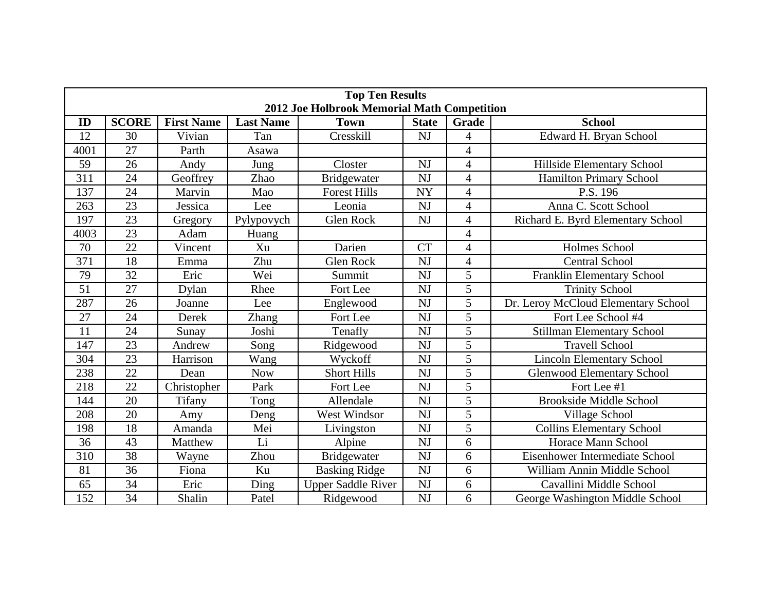| <b>Top Ten Results</b><br><b>2012 Joe Holbrook Memorial Math Competition</b> |                 |                   |                  |                           |              |                          |                                     |  |  |  |  |
|------------------------------------------------------------------------------|-----------------|-------------------|------------------|---------------------------|--------------|--------------------------|-------------------------------------|--|--|--|--|
| ID                                                                           | <b>SCORE</b>    | <b>First Name</b> | <b>Last Name</b> | <b>Town</b>               | <b>State</b> | Grade                    | <b>School</b>                       |  |  |  |  |
| 12                                                                           | 30              | Vivian            | Tan              | Cresskill                 | <b>NJ</b>    | $\overline{\mathcal{A}}$ | Edward H. Bryan School              |  |  |  |  |
| 4001                                                                         | 27              | Parth             | Asawa            |                           |              | $\overline{\mathcal{A}}$ |                                     |  |  |  |  |
| 59                                                                           | 26              | Andy              | Jung             | Closter                   | <b>NJ</b>    | $\overline{4}$           | Hillside Elementary School          |  |  |  |  |
| 311                                                                          | 24              | Geoffrey          | Zhao             | <b>Bridgewater</b>        | <b>NJ</b>    | $\overline{4}$           | <b>Hamilton Primary School</b>      |  |  |  |  |
| 137                                                                          | 24              | Marvin            | Mao              | <b>Forest Hills</b>       | <b>NY</b>    | $\overline{\mathcal{A}}$ | P.S. 196                            |  |  |  |  |
| 263                                                                          | 23              | Jessica           | Lee              | Leonia                    | <b>NJ</b>    | 4                        | Anna C. Scott School                |  |  |  |  |
| 197                                                                          | 23              | Gregory           | Pylypovych       | <b>Glen Rock</b>          | <b>NJ</b>    | $\overline{\mathcal{A}}$ | Richard E. Byrd Elementary School   |  |  |  |  |
| 4003                                                                         | 23              | Adam              | Huang            |                           |              | $\overline{4}$           |                                     |  |  |  |  |
| 70                                                                           | 22              | Vincent           | Xu               | Darien                    | <b>CT</b>    | $\overline{\mathcal{A}}$ | Holmes School                       |  |  |  |  |
| 371                                                                          | 18              | Emma              | Zhu              | <b>Glen Rock</b>          | <b>NJ</b>    | 4                        | <b>Central School</b>               |  |  |  |  |
| 79                                                                           | 32              | Eric              | Wei              | Summit                    | <b>NJ</b>    | 5                        | <b>Franklin Elementary School</b>   |  |  |  |  |
| 51                                                                           | 27              | Dylan             | Rhee             | Fort Lee                  | <b>NJ</b>    | 5                        | <b>Trinity School</b>               |  |  |  |  |
| 287                                                                          | 26              | Joanne            | Lee              | Englewood                 | <b>NJ</b>    | 5                        | Dr. Leroy McCloud Elementary School |  |  |  |  |
| 27                                                                           | 24              | <b>Derek</b>      | <b>Zhang</b>     | Fort Lee                  | <b>NJ</b>    | 5                        | Fort Lee School #4                  |  |  |  |  |
| 11                                                                           | 24              | Sunav             | Joshi            | Tenafly                   | <b>NJ</b>    | 5                        | Stillman Elementary School          |  |  |  |  |
| 147                                                                          | 23              | Andrew            | Song             | Ridgewood                 | <b>NJ</b>    | 5                        | <b>Travell School</b>               |  |  |  |  |
| 304                                                                          | 23              | Harrison          | Wang             | Wyckoff                   | NJ           | 5                        | <b>Lincoln Elementary School</b>    |  |  |  |  |
| 238                                                                          | 22              | Dean              | <b>Now</b>       | <b>Short Hills</b>        | <b>NJ</b>    | $\overline{5}$           | <b>Glenwood Elementary School</b>   |  |  |  |  |
| 218                                                                          | 22              | Christopher       | Park             | Fort Lee                  | <b>NJ</b>    | $\overline{5}$           | Fort Lee #1                         |  |  |  |  |
| 144                                                                          | $\overline{20}$ | <b>Tifany</b>     | Tong             | Allendale                 | <b>NJ</b>    | $\overline{5}$           | <b>Brookside Middle School</b>      |  |  |  |  |
| 208                                                                          | 20              | Amy               | Deng             | West Windsor              | <b>NJ</b>    | 5                        | Village School                      |  |  |  |  |
| 198                                                                          | 18              | Amanda            | Mei              | Livingston                | <b>NJ</b>    | 5                        | <b>Collins Elementary School</b>    |  |  |  |  |
| 36                                                                           | 43              | <b>Matthew</b>    | Li               | Alpine                    | <b>NJ</b>    | 6                        | Horace Mann School                  |  |  |  |  |
| 310                                                                          | 38              | Wayne             | Zhou             | <b>Bridgewater</b>        | <b>NJ</b>    | 6                        | Eisenhower Intermediate School      |  |  |  |  |
| 81                                                                           | 36              | Fiona             | Ku               | <b>Basking Ridge</b>      | <b>NJ</b>    | 6                        | William Annin Middle School         |  |  |  |  |
| 65                                                                           | 34              | Eric              | Ding             | <b>Upper Saddle River</b> | <b>NJ</b>    | 6                        | Cavallini Middle School             |  |  |  |  |
| 152                                                                          | 34              | Shalin            | Patel            | Ridgewood                 | <b>NJ</b>    | 6                        | George Washington Middle School     |  |  |  |  |